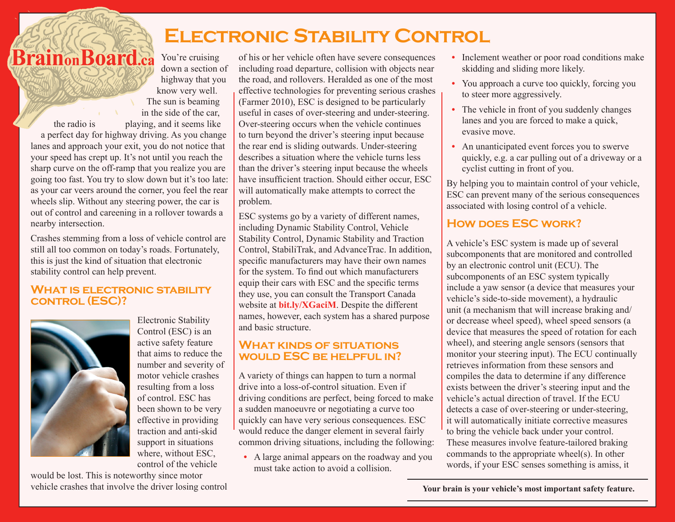# **Electronic Stability Control**

Brain<sub>on</sub>Board.ca You're cruising down a section of highway that you know very well. The sun is beaming in the side of the car, the radio is playing, and it seems like a perfect day for highway driving. As you change lanes and approach your exit, you do not notice that your speed has crept up. It's not until you reach the sharp curve on the off-ramp that you realize you are going too fast. You try to slow down but it's too late:

as your car veers around the corner, you feel the rear wheels slip. Without any steering power, the car is out of control and careening in a rollover towards a nearby intersection.

Crashes stemming from a loss of vehicle control are still all too common on today's roads. Fortunately, this is just the kind of situation that electronic stability control can help prevent.

### **What is electronic stability control (ESC)?**



Electronic Stability Control (ESC) is an active safety feature that aims to reduce the number and severity of motor vehicle crashes resulting from a loss of control. ESC has been shown to be very effective in providing traction and anti-skid support in situations where, without ESC control of the vehicle

would be lost. This is noteworthy since motor vehicle crashes that involve the driver losing control

of his or her vehicle often have severe consequences including road departure, collision with objects near the road, and rollovers. Heralded as one of the most effective technologies for preventing serious crashes (Farmer 2010), ESC is designed to be particularly useful in cases of over-steering and under-steering. Over-steering occurs when the vehicle continues to turn beyond the driver's steering input because the rear end is sliding outwards. Under-steering describes a situation where the vehicle turns less than the driver's steering input because the wheels have insufficient traction. Should either occur, ESC will automatically make attempts to correct the problem.

ESC systems go by a variety of different names, including Dynamic Stability Control, Vehicle Stability Control, Dynamic Stability and Traction Control, StabiliTrak, and AdvanceTrac. In addition, specific manufacturers may have their own names for the system. To find out which manufacturers equip their cars with ESC and the specific terms they use, you can consult the Transport Canada website at **bit.ly/XGaciM**. Despite the different names, however, each system has a shared purpose and basic structure.

### **What kinds of situations would ESC be helpful in?**

A variety of things can happen to turn a normal drive into a loss-of-control situation. Even if driving conditions are perfect, being forced to make a sudden manoeuvre or negotiating a curve too quickly can have very serious consequences. ESC would reduce the danger element in several fairly common driving situations, including the following:

• A large animal appears on the roadway and you must take action to avoid a collision.

- **•** Inclement weather or poor road conditions make skidding and sliding more likely.
- You approach a curve too quickly, forcing you to steer more aggressively.
- The vehicle in front of you suddenly changes lanes and you are forced to make a quick, evasive move.
- **•** An unanticipated event forces you to swerve quickly, e.g. a car pulling out of a driveway or a cyclist cutting in front of you.

By helping you to maintain control of your vehicle, ESC can prevent many of the serious consequences associated with losing control of a vehicle.

### HOW DOES **ESC** WORK?

A vehicle's ESC system is made up of several subcomponents that are monitored and controlled by an electronic control unit (ECU). The subcomponents of an ESC system typically include a yaw sensor (a device that measures your vehicle's side-to-side movement), a hydraulic unit (a mechanism that will increase braking and/ or decrease wheel speed), wheel speed sensors (a device that measures the speed of rotation for each wheel), and steering angle sensors (sensors that monitor your steering input). The ECU continually retrieves information from these sensors and compiles the data to determine if any difference exists between the driver's steering input and the vehicle's actual direction of travel. If the ECU detects a case of over-steering or under-steering, it will automatically initiate corrective measures to bring the vehicle back under your control. These measures involve feature-tailored braking commands to the appropriate wheel(s). In other words, if your ESC senses something is amiss, it

 **Your brain is your vehicle's most important safety feature.**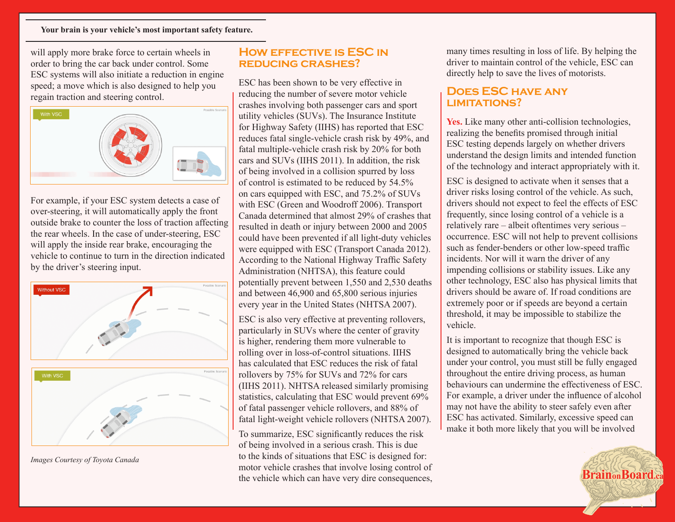#### **Your brain is your vehicle's most important safety feature.**

will apply more brake force to certain wheels in order to bring the car back under control. Some ESC systems will also initiate a reduction in engine speed; a move which is also designed to help you regain traction and steering control.



For example, if your ESC system detects a case of over-steering, it will automatically apply the front outside brake to counter the loss of traction affecting the rear wheels. In the case of under-steering, ESC will apply the inside rear brake, encouraging the vehicle to continue to turn in the direction indicated by the driver's steering input.



*Images Courtesy of Toyota Canada*

### **How effective is ESC in reducing crashes?**

ESC has been shown to be very effective in reducing the number of severe motor vehicle crashes involving both passenger cars and sport utility vehicles (SUVs). The Insurance Institute for Highway Safety (IIHS) has reported that ESC reduces fatal single-vehicle crash risk by 49%, and fatal multiple-vehicle crash risk by 20% for both cars and SUVs (IIHS 2011). In addition, the risk of being involved in a collision spurred by loss of control is estimated to be reduced by 54.5% on cars equipped with ESC, and 75.2% of SUVs with ESC (Green and Woodroff 2006). Transport Canada determined that almost 29% of crashes that resulted in death or injury between 2000 and 2005 could have been prevented if all light-duty vehicles were equipped with ESC (Transport Canada 2012). According to the National Highway Traffic Safety Administration (NHTSA), this feature could potentially prevent between 1,550 and 2,530 deaths and between 46,900 and 65,800 serious injuries every year in the United States (NHTSA 2007).

ESC is also very effective at preventing rollovers, particularly in SUVs where the center of gravity is higher, rendering them more vulnerable to rolling over in loss-of-control situations. IIHS has calculated that ESC reduces the risk of fatal rollovers by 75% for SUVs and 72% for cars (IIHS 2011). NHTSA released similarly promising statistics, calculating that ESC would prevent 69% of fatal passenger vehicle rollovers, and 88% of fatal light-weight vehicle rollovers (NHTSA 2007).

To summarize, ESC significantly reduces the risk of being involved in a serious crash. This is due to the kinds of situations that ESC is designed for: motor vehicle crashes that involve losing control of the vehicle which can have very dire consequences, many times resulting in loss of life. By helping the driver to maintain control of the vehicle, ESC can directly help to save the lives of motorists.

#### **Does ESC have any limitations?**

Yes. Like many other anti-collision technologies, realizing the benefits promised through initial ESC testing depends largely on whether drivers understand the design limits and intended function of the technology and interact appropriately with it.

ESC is designed to activate when it senses that a driver risks losing control of the vehicle. As such, drivers should not expect to feel the effects of ESC frequently, since losing control of a vehicle is a relatively rare – albeit oftentimes very serious – occurrence. ESC will not help to prevent collisions such as fender-benders or other low-speed traffic incidents. Nor will it warn the driver of any impending collisions or stability issues. Like any other technology, ESC also has physical limits that drivers should be aware of. If road conditions are extremely poor or if speeds are beyond a certain threshold, it may be impossible to stabilize the vehicle.

It is important to recognize that though ESC is designed to automatically bring the vehicle back under your control, you must still be fully engaged throughout the entire driving process, as human behaviours can undermine the effectiveness of ESC. For example, a driver under the influence of alcohol may not have the ability to steer safely even after ESC has activated. Similarly, excessive speed can make it both more likely that you will be involved